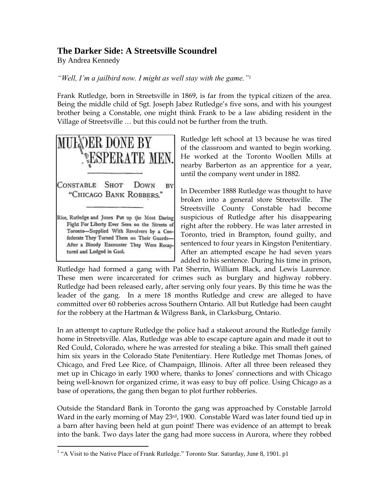## **The Darker Side: A Streetsville Scoundrel**

By Andrea Kennedy

*"Well, I'm a jailbird now. I might as well stay with the game."<sup>1</sup>*

Frank Rutledge, born in Streetsville in 1869, is far from the typical citizen of the area. Being the middle child of Sgt. Joseph Jabez Rutledge's five sons, and with his youngest brother being a Constable, one might think Frank to be a law abiding resident in the Village of Streetsville … but this could not be further from the truth.



 $\overline{a}$ 

Rutledge left school at 13 because he was tired of the classroom and wanted to begin working. He worked at the Toronto Woollen Mills at nearby Barberton as an apprentice for a year, until the company went under in 1882.

In December 1888 Rutledge was thought to have broken into a general store Streetsville. The Streetsville County Constable had become suspicious of Rutledge after his disappearing right after the robbery. He was later arrested in Toronto, tried in Brampton, found guilty, and sentenced to four years in Kingston Penitentiary. After an attempted escape he had seven years added to his sentence. During his time in prison,

Rutledge had formed a gang with Pat Sherrin, William Black, and Lewis Laurence. These men were incarcerated for crimes such as burglary and highway robbery. Rutledge had been released early, after serving only four years. By this time he was the leader of the gang. In a mere 18 months Rutledge and crew are alleged to have committed over 60 robberies across Southern Ontario. All but Rutledge had been caught for the robbery at the Hartman & Wilgress Bank, in Clarksburg, Ontario.

In an attempt to capture Rutledge the police had a stakeout around the Rutledge family home in Streetsville. Alas, Rutledge was able to escape capture again and made it out to Red Could, Colorado, where he was arrested for stealing a bike. This small theft gained him six years in the Colorado State Penitentiary. Here Rutledge met Thomas Jones, of Chicago, and Fred Lee Rice, of Champaign, Illinois. After all three been released they met up in Chicago in early 1900 where, thanks to Jones' connections and with Chicago being well-known for organized crime, it was easy to buy off police. Using Chicago as a base of operations, the gang then began to plot further robberies.

Outside the Standard Bank in Toronto the gang was approached by Constable Jarrold Ward in the early morning of May 23<sup>rd</sup>, 1900. Constable Ward was later found tied up in a barn after having been held at gun point! There was evidence of an attempt to break into the bank. Two days later the gang had more success in Aurora, where they robbed

<sup>&</sup>lt;sup>1</sup> "A Visit to the Native Place of Frank Rutledge." Toronto Star. Saturday, June 8, 1901. p1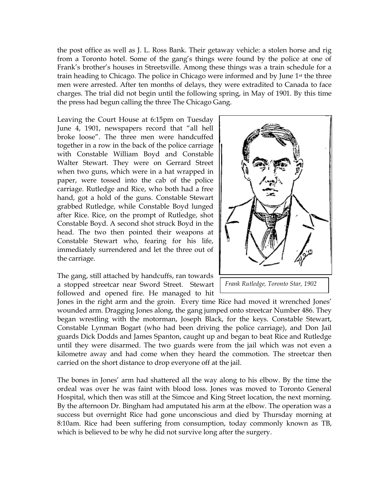the post office as well as J. L. Ross Bank. Their getaway vehicle: a stolen horse and rig from a Toronto hotel. Some of the gang's things were found by the police at one of Frank's brother's houses in Streetsville. Among these things was a train schedule for a train heading to Chicago. The police in Chicago were informed and by June 1<sup>st</sup> the three men were arrested. After ten months of delays, they were extradited to Canada to face charges. The trial did not begin until the following spring, in May of 1901. By this time the press had begun calling the three The Chicago Gang.

Leaving the Court House at 6:15pm on Tuesday June 4, 1901, newspapers record that "all hell broke loose". The three men were handcuffed together in a row in the back of the police carriage with Constable William Boyd and Constable Walter Stewart. They were on Gerrard Street when two guns, which were in a hat wrapped in paper, were tossed into the cab of the police carriage. Rutledge and Rice, who both had a free hand, got a hold of the guns. Constable Stewart grabbed Rutledge, while Constable Boyd lunged after Rice. Rice, on the prompt of Rutledge, shot Constable Boyd. A second shot struck Boyd in the head. The two then pointed their weapons at Constable Stewart who, fearing for his life, immediately surrendered and let the three out of the carriage.

The gang, still attached by handcuffs, ran towards a stopped streetcar near Sword Street. Stewart followed and opened fire. He managed to hit



Jones in the right arm and the groin. Every time Rice had moved it wrenched Jones' wounded arm. Dragging Jones along, the gang jumped onto streetcar Number 486. They began wrestling with the motorman, Joseph Black, for the keys. Constable Stewart, Constable Lynman Bogart (who had been driving the police carriage), and Don Jail guards Dick Dodds and James Spanton, caught up and began to beat Rice and Rutledge until they were disarmed. The two guards were from the jail which was not even a kilometre away and had come when they heard the commotion. The streetcar then carried on the short distance to drop everyone off at the jail.

The bones in Jones' arm had shattered all the way along to his elbow. By the time the ordeal was over he was faint with blood loss. Jones was moved to Toronto General Hospital, which then was still at the Simcoe and King Street location, the next morning. By the afternoon Dr. Bingham had amputated his arm at the elbow. The operation was a success but overnight Rice had gone unconscious and died by Thursday morning at 8:10am. Rice had been suffering from consumption, today commonly known as TB, which is believed to be why he did not survive long after the surgery.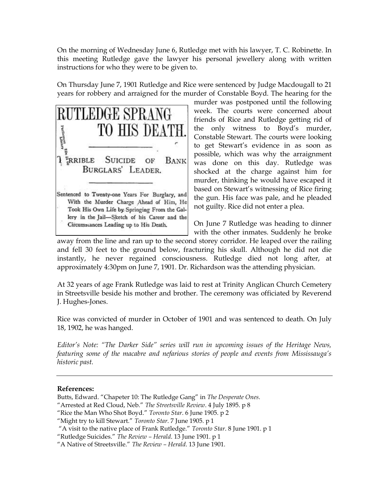On the morning of Wednesday June 6, Rutledge met with his lawyer, T. C. Robinette. In this meeting Rutledge gave the lawyer his personal jewellery along with written instructions for who they were to be given to.

On Thursday June 7, 1901 Rutledge and Rice were sentenced by Judge Macdougall to 21 years for robbery and arraigned for the murder of Constable Boyd. The hearing for the



murder was postponed until the following week. The courts were concerned about friends of Rice and Rutledge getting rid of the only witness to Boyd's murder, Constable Stewart. The courts were looking to get Stewart's evidence in as soon as possible, which was why the arraignment was done on this day. Rutledge was shocked at the charge against him for murder, thinking he would have escaped it based on Stewart's witnessing of Rice firing the gun. His face was pale, and he pleaded not guilty. Rice did not enter a plea.

On June 7 Rutledge was heading to dinner with the other inmates. Suddenly he broke

away from the line and ran up to the second storey corridor. He leaped over the railing and fell 30 feet to the ground below, fracturing his skull. Although he did not die instantly, he never regained consciousness. Rutledge died not long after, at approximately 4:30pm on June 7, 1901. Dr. Richardson was the attending physician.

At 32 years of age Frank Rutledge was laid to rest at Trinity Anglican Church Cemetery in Streetsville beside his mother and brother. The ceremony was officiated by Reverend J. Hughes-Jones.

Rice was convicted of murder in October of 1901 and was sentenced to death. On July 18, 1902, he was hanged.

*Editor's Note: "The Darker Side" series will run in upcoming issues of the Heritage News, featuring some of the macabre and nefarious stories of people and events from Mississauga's historic past.* 

## **References:**

- Butts, Edward. "Chapeter 10: The Rutledge Gang" in *The Desperate Ones*.
- "Arrested at Red Cloud, Neb." *The Streetsville Review*. 4 July 1895. p 8
- "Rice the Man Who Shot Boyd." *Toronto Star*. 6 June 1905. p 2
- "Might try to kill Stewart." *Toronto Star*. 7 June 1905. p 1
- "A visit to the native place of Frank Rutledge." *Toronto Star*. 8 June 1901. p 1
- "Rutledge Suicides." *The Review – Herald*. 13 June 1901. p 1
- "A Native of Streetsville." *The Review – Herald*. 13 June 1901.